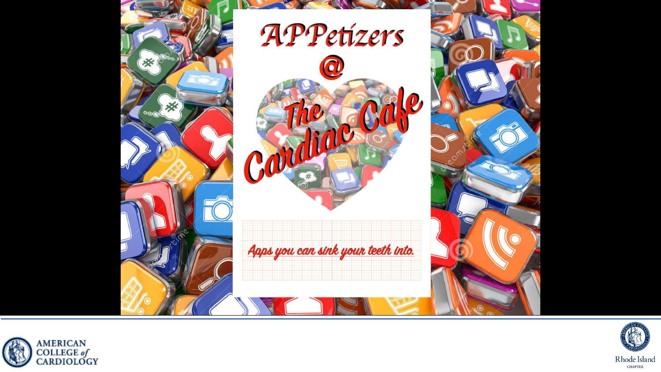



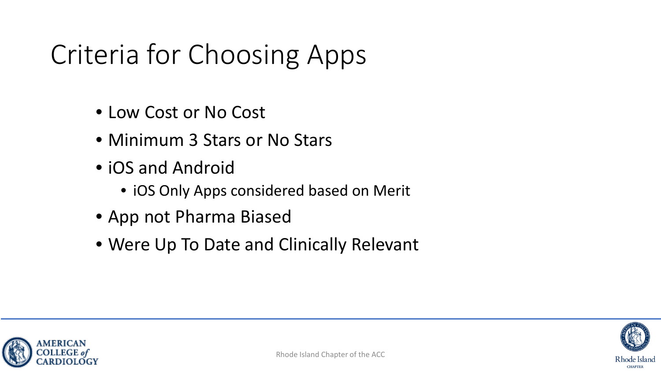#### Criteria for Choosing Apps

- Low Cost or No Cost
- Minimum 3 Stars or No Stars
- iOS and Android
	- iOS Only Apps considered based on Merit
- App not Pharma Biased
- Were Up To Date and Clinically Relevant



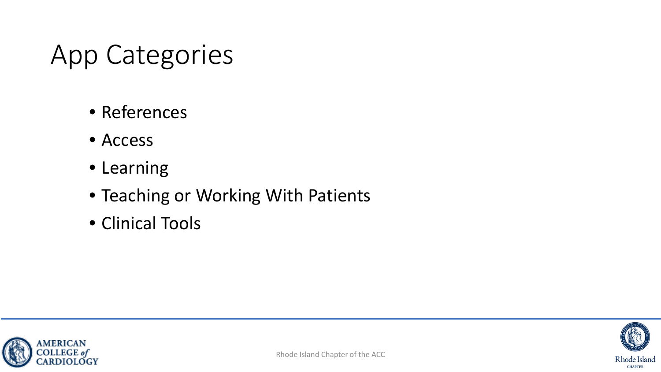#### App Categories

- References
- Access
- Learning
- Teaching or Working With Patients
- Clinical Tools



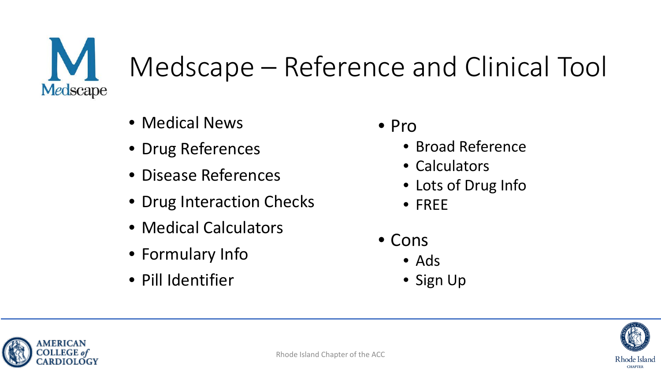

# Medscape – Reference and Clinical Tool

- Medical News
- Drug References
- Disease References
- Drug Interaction Checks
- Medical Calculators
- Formulary Info
- Pill Identifier
- Pro
	- Broad Reference
	- Calculators
	- Lots of Drug Info
	- FREE
- Cons
	- Ads
	- Sign Up



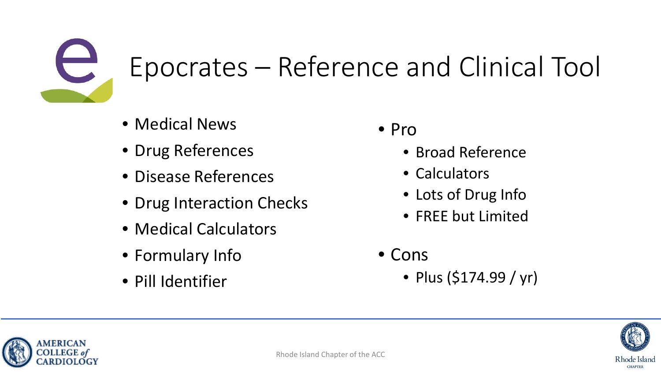

## Epocrates – Reference and Clinical Tool

- Medical News
- Drug References
- Disease References
- Drug Interaction Checks
- Medical Calculators
- Formulary Info
- Pill Identifier
- Pro
	- Broad Reference
	- Calculators
	- Lots of Drug Info
	- FREE but Limited
- Cons
	- Plus (\$174.99 / yr)



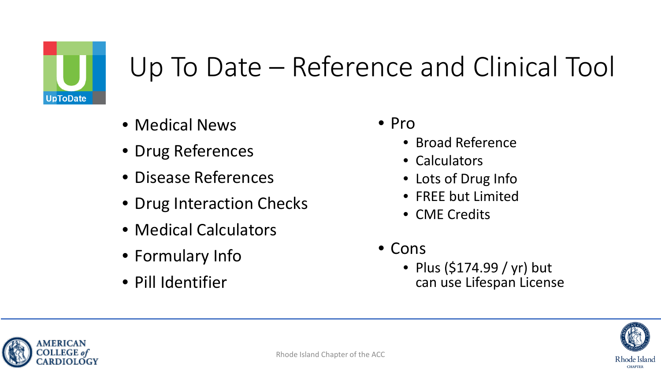

#### Up To Date – Reference and Clinical Tool

- Medical News
- Drug References
- Disease References
- Drug Interaction Checks
- Medical Calculators
- Formulary Info
- Pill Identifier
- Pro
	- Broad Reference
	- Calculators
	- Lots of Drug Info
	- FREE but Limited
	- CME Credits
- Cons
	- Plus (\$174.99 / yr) but can use Lifespan License



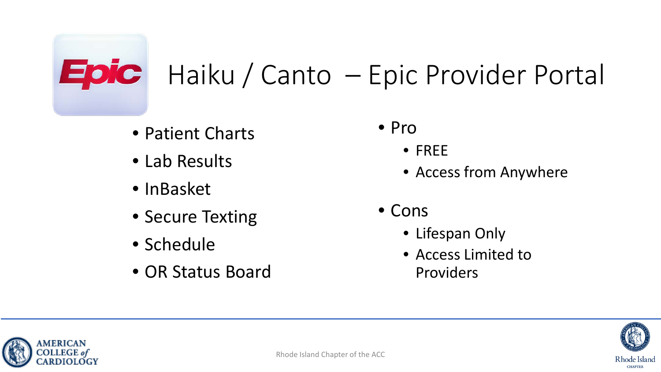## **Epic** Haiku / Canto – Epic Provider Portal

- Patient Charts
- Lab Results
- InBasket
- Secure Texting
- Schedule
- OR Status Board
- Pro
	- FREE
	- Access from Anywhere
- Cons
	- Lifespan Only
	- Access Limited to Providers



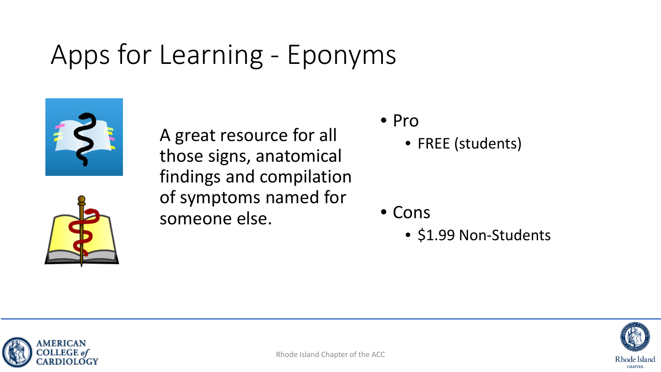#### Apps for Learning - Eponyms



A great resource for all those signs, anatomical findings and compilation of symptoms named for someone else.

- Pro
	- FREE (students)

- Cons
	- \$1.99 Non-Students





Rhode Island **CHAPTER**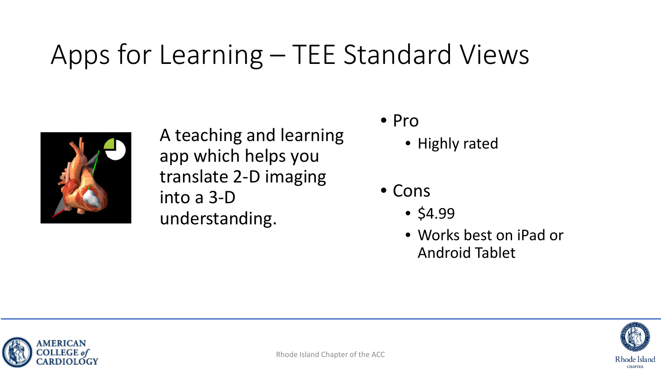#### Apps for Learning – TEE Standard Views



A teaching and learning app which helps you translate 2-D imaging into a 3-D understanding.

- Pro
	- Highly rated
- Cons
	- $•$  \$4.99
	- Works best on iPad or Android Tablet



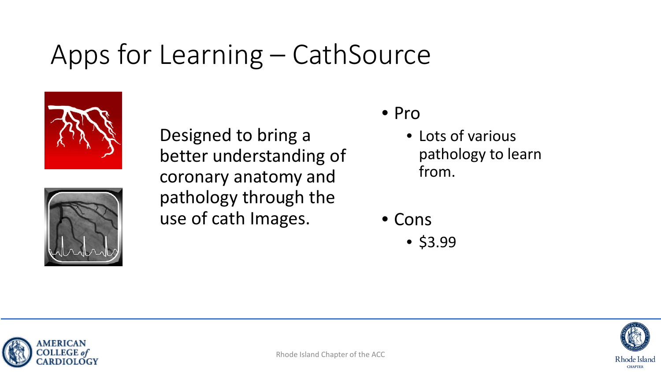#### Apps for Learning – CathSource





Designed to bring a better understanding of coronary anatomy and pathology through the use of cath Images.

- Pro
	- Lots of various pathology to learn from.
- Cons
	- \$3.99



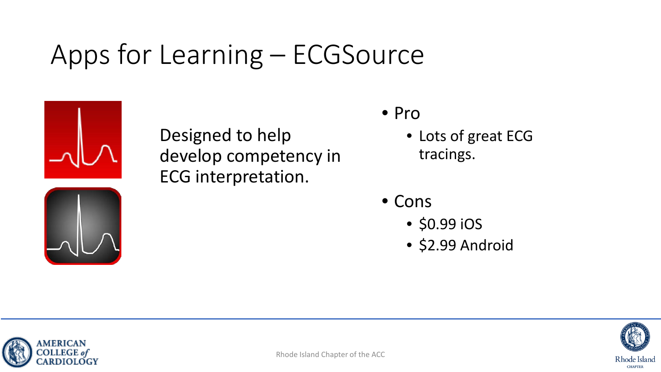#### Apps for Learning – ECGSource



Designed to help develop competency in ECG interpretation.

- Pro
	- Lots of great ECG tracings.
- Cons
	- \$0.99 iOS
	- \$2.99 Android



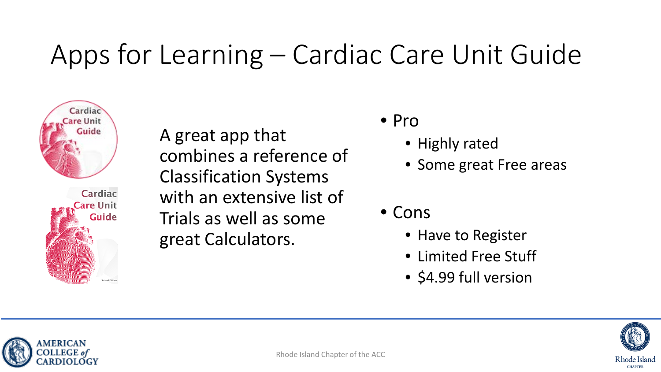#### Apps for Learning – Cardiac Care Unit Guide



Cardiac are Unit **Guide**  A great app that combines a reference of Classification Systems with an extensive list of Trials as well as some great Calculators.

- Pro
	- Highly rated
	- Some great Free areas
- Cons
	- Have to Register
	- Limited Free Stuff
	- \$4.99 full version



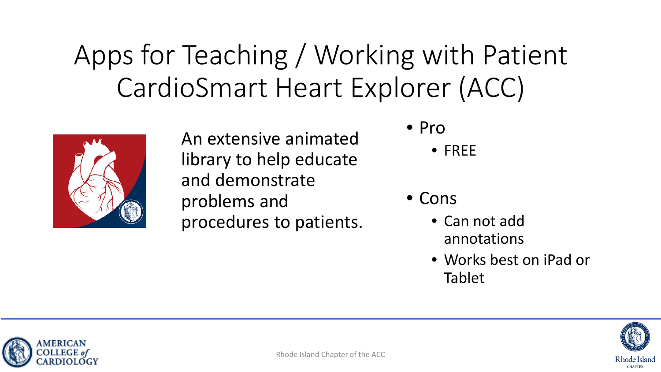#### Apps for Teaching / Working with Patient CardioSmart Heart Explorer (ACC)



An extensive animated library to help educate and demonstrate problems and procedures to patients.

- Pro
	- FREE
- Cons
	- Can not add annotations
	- Works best on iPad or Tablet



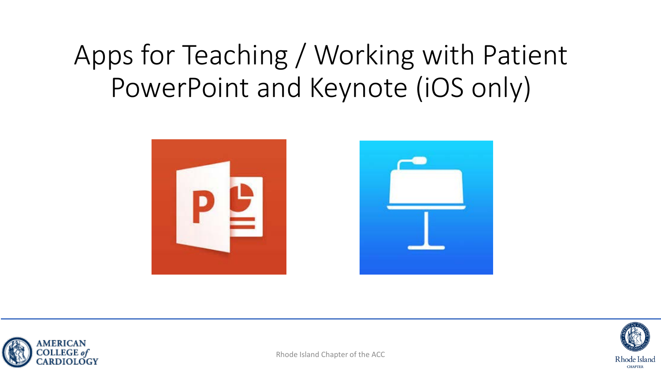#### Apps for Teaching / Working with Patient PowerPoint and Keynote (iOS only)







Rhode Island Chapter of the ACC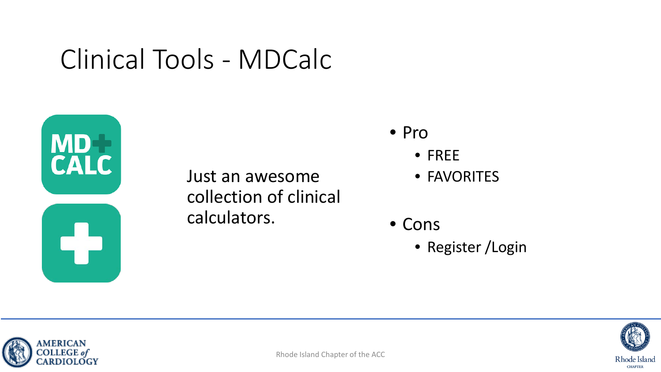#### Clinical Tools - MDCalc



Just an awesome collection of clinical calculators.

- Pro
	- FREE
	- FAVORITES
- Cons
	- Register /Login



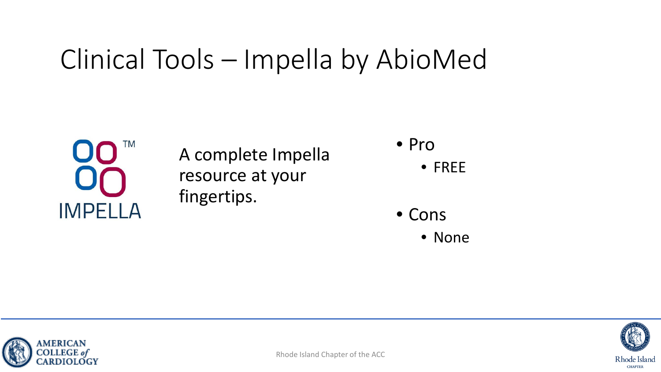#### Clinical Tools – Impella by AbioMed



A complete Impella resource at your fingertips.

• Pro

• FREE

• Cons

• None





Rhode Island Chapter of the ACC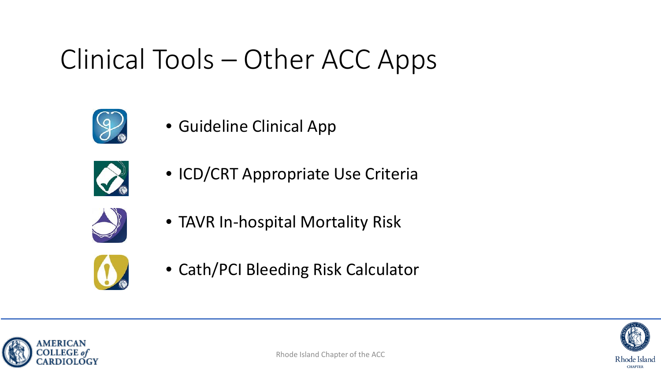#### Clinical Tools – Other ACC Apps



• Guideline Clinical App



• ICD/CRT Appropriate Use Criteria



• TAVR In-hospital Mortality Risk



• Cath/PCI Bleeding Risk Calculator



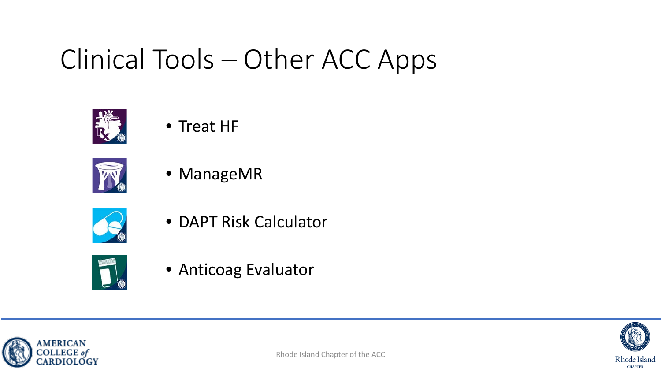#### Clinical Tools – Other ACC Apps



#### • Treat HF



• ManageMR



• DAPT Risk Calculator



• Anticoag Evaluator